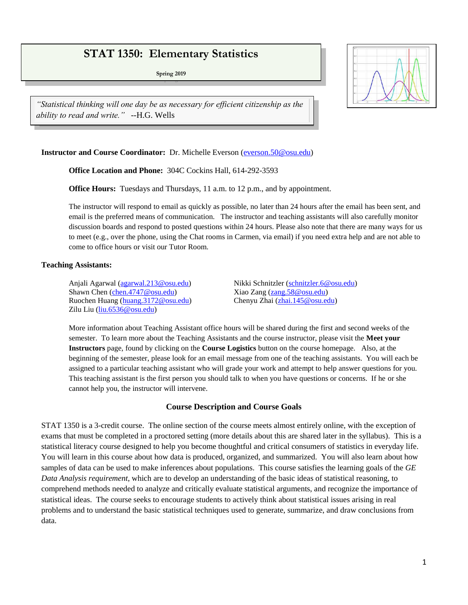# **STAT 1350: Elementary Statistics**

**Spring 2019**



*"Statistical thinking will one day be as necessary for efficient citizenship as the ability to read and write."* --H.G. Wells

## **Instructor and Course Coordinator:** Dr. Michelle Everson [\(everson.50@osu.edu\)](mailto:everson.50@osu.edu)

**Office Location and Phone:** 304C Cockins Hall, 614-292-3593

**Office Hours:** Tuesdays and Thursdays, 11 a.m. to 12 p.m., and by appointment.

The instructor will respond to email as quickly as possible, no later than 24 hours after the email has been sent, and email is the preferred means of communication. The instructor and teaching assistants will also carefully monitor discussion boards and respond to posted questions within 24 hours. Please also note that there are many ways for us to meet (e.g., over the phone, using the Chat rooms in Carmen, via email) if you need extra help and are not able to come to office hours or visit our Tutor Room.

#### **Teaching Assistants:**

Anjali Agarwal [\(agarwal.213@osu.edu\)](mailto:agarwal.213@osu.edu) Nikki Schnitzler [\(schnitzler.6@osu.edu\)](mailto:schnitzler.6@osu.edu) Shawn Chen [\(chen.4747@osu.edu\)](mailto:chen.4747@osu.edu) Xiao Zang [\(zang.58@osu.edu\)](mailto:zang.58@osu.edu) Ruochen Huang [\(huang.3172@osu.edu\)](mailto:huang.3172@osu.edu) Chenyu Zhai [\(zhai.145@osu.edu\)](mailto:zhai.145@osu.edu) Zilu Liu [\(liu.6536@osu.edu\)](mailto:liu.6536@osu.edu)

More information about Teaching Assistant office hours will be shared during the first and second weeks of the semester. To learn more about the Teaching Assistants and the course instructor, please visit the **Meet your Instructors** page, found by clicking on the **Course Logistics** button on the course homepage. Also, at the beginning of the semester, please look for an email message from one of the teaching assistants. You will each be assigned to a particular teaching assistant who will grade your work and attempt to help answer questions for you. This teaching assistant is the first person you should talk to when you have questions or concerns. If he or she cannot help you, the instructor will intervene.

#### **Course Description and Course Goals**

STAT 1350 is a 3-credit course. The online section of the course meets almost entirely online, with the exception of exams that must be completed in a proctored setting (more details about this are shared later in the syllabus). This is a statistical literacy course designed to help you become thoughtful and critical consumers of statistics in everyday life. You will learn in this course about how data is produced, organized, and summarized. You will also learn about how samples of data can be used to make inferences about populations. This course satisfies the learning goals of the *GE Data Analysis requirement*, which are to develop an understanding of the basic ideas of statistical reasoning, to comprehend methods needed to analyze and critically evaluate statistical arguments, and recognize the importance of statistical ideas. The course seeks to encourage students to actively think about statistical issues arising in real problems and to understand the basic statistical techniques used to generate, summarize, and draw conclusions from data.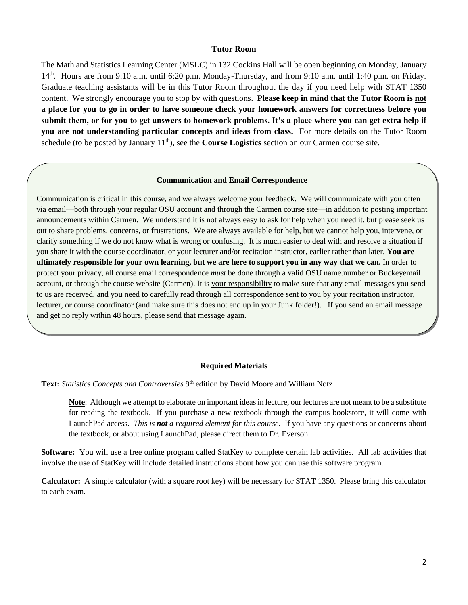#### **Tutor Room**

The Math and Statistics Learning Center (MSLC) in 132 Cockins Hall will be open beginning on Monday, January 14<sup>th</sup>. Hours are from 9:10 a.m. until 6:20 p.m. Monday-Thursday, and from 9:10 a.m. until 1:40 p.m. on Friday. Graduate teaching assistants will be in this Tutor Room throughout the day if you need help with STAT 1350 content. We strongly encourage you to stop by with questions. **Please keep in mind that the Tutor Room is not a place for you to go in order to have someone check your homework answers for correctness before you submit them, or for you to get answers to homework problems. It's a place where you can get extra help if you are not understanding particular concepts and ideas from class.** For more details on the Tutor Room schedule (to be posted by January 11<sup>th</sup>), see the **Course Logistics** section on our Carmen course site.

#### **Communication and Email Correspondence**

Communication is critical in this course, and we always welcome your feedback. We will communicate with you often via email—both through your regular OSU account and through the Carmen course site—in addition to posting important announcements within Carmen. We understand it is not always easy to ask for help when you need it, but please seek us out to share problems, concerns, or frustrations. We are always available for help, but we cannot help you, intervene, or clarify something if we do not know what is wrong or confusing. It is much easier to deal with and resolve a situation if you share it with the course coordinator, or your lecturer and/or recitation instructor, earlier rather than later. **You are ultimately responsible for your own learning, but we are here to support you in any way that we can.** In order to protect your privacy, all course email correspondence *must* be done through a valid OSU name.number or Buckeyemail account, or through the course website (Carmen). It is your responsibility to make sure that any email messages you send to us are received, and you need to carefully read through all correspondence sent to you by your recitation instructor, lecturer, or course coordinator (and make sure this does not end up in your Junk folder!). If you send an email message and get no reply within 48 hours, please send that message again.

#### **Required Materials**

Text: Statistics Concepts and Controversies 9<sup>th</sup> edition by David Moore and William Notz

**Note**: Although we attempt to elaborate on important ideas in lecture, our lectures are not meant to be a substitute for reading the textbook. If you purchase a new textbook through the campus bookstore, it will come with LaunchPad access. *This is not a required element for this course.* If you have any questions or concerns about the textbook, or about using LaunchPad, please direct them to Dr. Everson.

**Software:** You will use a free online program called StatKey to complete certain lab activities. All lab activities that involve the use of StatKey will include detailed instructions about how you can use this software program.

**Calculator:** A simple calculator (with a square root key) will be necessary for STAT 1350. Please bring this calculator to each exam.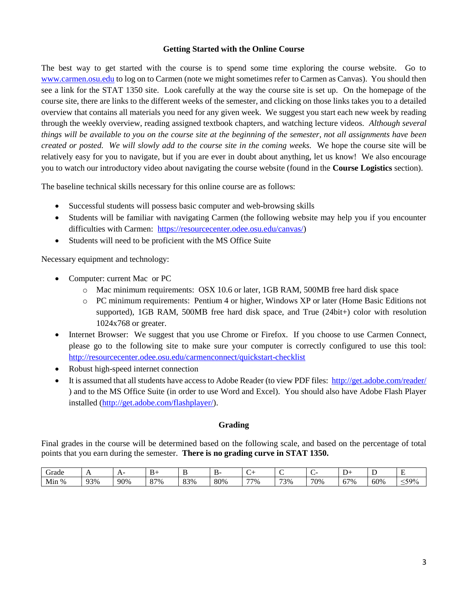## **Getting Started with the Online Course**

The best way to get started with the course is to spend some time exploring the course website. Go to [www.carmen.osu.edu](http://www.carmen.osu.edu/) to log on to Carmen (note we might sometimes refer to Carmen as Canvas). You should then see a link for the STAT 1350 site. Look carefully at the way the course site is set up. On the homepage of the course site, there are links to the different weeks of the semester, and clicking on those links takes you to a detailed overview that contains all materials you need for any given week. We suggest you start each new week by reading through the weekly overview, reading assigned textbook chapters, and watching lecture videos. *Although several things will be available to you on the course site at the beginning of the semester, not all assignments have been created or posted. We will slowly add to the course site in the coming weeks.* We hope the course site will be relatively easy for you to navigate, but if you are ever in doubt about anything, let us know! We also encourage you to watch our introductory video about navigating the course website (found in the **Course Logistics** section).

The baseline technical skills necessary for this online course are as follows:

- Successful students will possess basic computer and web-browsing skills
- Students will be familiar with navigating Carmen (the following website may help you if you encounter difficulties with Carmen: [https://resourcecenter.odee.osu.edu/canvas/\)](https://resourcecenter.odee.osu.edu/canvas/)
- Students will need to be proficient with the MS Office Suite

Necessary equipment and technology:

- Computer: current Mac or PC
	- o Mac minimum requirements: OSX 10.6 or later, 1GB RAM, 500MB free hard disk space
	- o PC minimum requirements: Pentium 4 or higher, Windows XP or later (Home Basic Editions not supported), 1GB RAM, 500MB free hard disk space, and True (24bit+) color with resolution 1024x768 or greater.
- Internet Browser: We suggest that you use Chrome or Firefox. If you choose to use Carmen Connect, please go to the following site to make sure your computer is correctly configured to use this tool: <http://resourcecenter.odee.osu.edu/carmenconnect/quickstart-checklist>
- Robust high-speed internet connection
- It is assumed that all students have access to Adobe Reader (to view PDF files:<http://get.adobe.com/reader/> ) and to the MS Office Suite (in order to use Word and Excel). You should also have Adobe Flash Player installed [\(http://get.adobe.com/flashplayer/\)](http://get.adobe.com/flashplayer/).

## **Grading**

Final grades in the course will be determined based on the following scale, and based on the percentage of total points that you earn during the semester. **There is no grading curve in STAT 1350.**

| Grade       | . . | ⊶<br>. . | $\sim$<br>້ |           | יט. | . . |     |     |                     | $\sim$<br><b>.</b> | ÷       |
|-------------|-----|----------|-------------|-----------|-----|-----|-----|-----|---------------------|--------------------|---------|
| $\%$<br>Min | 93% | 90%      | 87%         | 83%<br>39 | 80% | 77% | 73% | 70% | 57%<br>$\mathbf{U}$ | 60%                | $-59\%$ |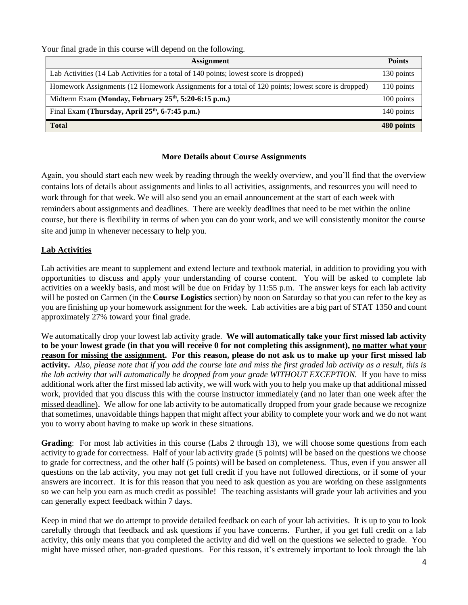Your final grade in this course will depend on the following.

| <b>Assignment</b>                                                                                 |            |  |  |  |
|---------------------------------------------------------------------------------------------------|------------|--|--|--|
| Lab Activities (14 Lab Activities for a total of 140 points; lowest score is dropped)             |            |  |  |  |
| Homework Assignments (12 Homework Assignments for a total of 120 points; lowest score is dropped) |            |  |  |  |
| Midterm Exam (Monday, February 25 <sup>th</sup> , 5:20-6:15 p.m.)                                 |            |  |  |  |
| Final Exam (Thursday, April 25 <sup>th</sup> , 6-7:45 p.m.)                                       | 140 points |  |  |  |
| <b>Total</b>                                                                                      | 480 points |  |  |  |

# **More Details about Course Assignments**

Again, you should start each new week by reading through the weekly overview, and you'll find that the overview contains lots of details about assignments and links to all activities, assignments, and resources you will need to work through for that week. We will also send you an email announcement at the start of each week with reminders about assignments and deadlines. There are weekly deadlines that need to be met within the online course, but there is flexibility in terms of when you can do your work, and we will consistently monitor the course site and jump in whenever necessary to help you.

# **Lab Activities**

Lab activities are meant to supplement and extend lecture and textbook material, in addition to providing you with opportunities to discuss and apply your understanding of course content. You will be asked to complete lab activities on a weekly basis, and most will be due on Friday by 11:55 p.m. The answer keys for each lab activity will be posted on Carmen (in the **Course Logistics** section) by noon on Saturday so that you can refer to the key as you are finishing up your homework assignment for the week. Lab activities are a big part of STAT 1350 and count approximately 27% toward your final grade.

We automatically drop your lowest lab activity grade. **We will automatically take your first missed lab activity to be your lowest grade (in that you will receive 0 for not completing this assignment), no matter what your reason for missing the assignment. For this reason, please do not ask us to make up your first missed lab activity.** *Also, please note that if you add the course late and miss the first graded lab activity as a result, this is the lab activity that will automatically be dropped from your grade WITHOUT EXCEPTION.* If you have to miss additional work after the first missed lab activity, we will work with you to help you make up that additional missed work, provided that you discuss this with the course instructor immediately (and no later than one week after the missed deadline). We allow for one lab activity to be automatically dropped from your grade because we recognize that sometimes, unavoidable things happen that might affect your ability to complete your work and we do not want you to worry about having to make up work in these situations.

**Grading**: For most lab activities in this course (Labs 2 through 13), we will choose some questions from each activity to grade for correctness. Half of your lab activity grade (5 points) will be based on the questions we choose to grade for correctness, and the other half (5 points) will be based on completeness. Thus, even if you answer all questions on the lab activity, you may not get full credit if you have not followed directions, or if some of your answers are incorrect. It is for this reason that you need to ask question as you are working on these assignments so we can help you earn as much credit as possible! The teaching assistants will grade your lab activities and you can generally expect feedback within 7 days.

Keep in mind that we do attempt to provide detailed feedback on each of your lab activities. It is up to you to look carefully through that feedback and ask questions if you have concerns. Further, if you get full credit on a lab activity, this only means that you completed the activity and did well on the questions we selected to grade. You might have missed other, non-graded questions. For this reason, it's extremely important to look through the lab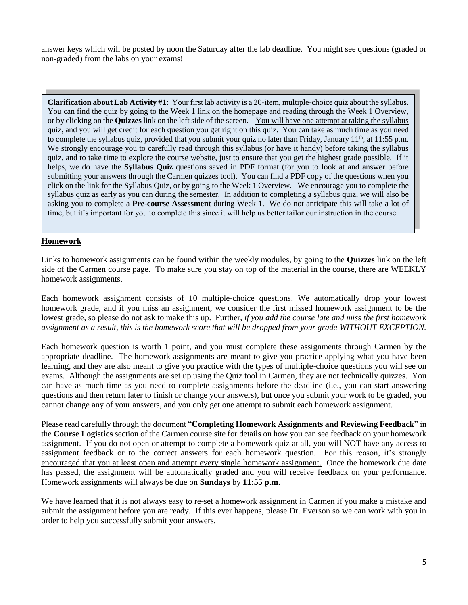answer keys which will be posted by noon the Saturday after the lab deadline. You might see questions (graded or non-graded) from the labs on your exams!

**Clarification about Lab Activity #1:** Your first lab activity is a 20-item, multiple-choice quiz about the syllabus. You can find the quiz by going to the Week 1 link on the homepage and reading through the Week 1 Overview, or by clicking on the **Quizzes** link on the left side of the screen. You will have one attempt at taking the syllabus quiz, and you will get credit for each question you get right on this quiz. You can take as much time as you need to complete the syllabus quiz, provided that you submit your quiz no later than Friday, January  $11<sup>th</sup>$ , at  $11:55$  p.m. We strongly encourage you to carefully read through this syllabus (or have it handy) before taking the syllabus quiz, and to take time to explore the course website, just to ensure that you get the highest grade possible. If it helps, we do have the **Syllabus Quiz** questions saved in PDF format (for you to look at and answer before submitting your answers through the Carmen quizzes tool). You can find a PDF copy of the questions when you click on the link for the Syllabus Quiz, or by going to the Week 1 Overview. We encourage you to complete the syllabus quiz as early as you can during the semester. In addition to completing a syllabus quiz, we will also be asking you to complete a **Pre-course Assessment** during Week 1. We do not anticipate this will take a lot of time, but it's important for you to complete this since it will help us better tailor our instruction in the course.

# **Homework**

Links to homework assignments can be found within the weekly modules, by going to the **Quizzes** link on the left side of the Carmen course page. To make sure you stay on top of the material in the course, there are WEEKLY homework assignments.

Each homework assignment consists of 10 multiple-choice questions. We automatically drop your lowest homework grade, and if you miss an assignment, we consider the first missed homework assignment to be the lowest grade, so please do not ask to make this up. Further, *if you add the course late and miss the first homework assignment as a result, this is the homework score that will be dropped from your grade WITHOUT EXCEPTION.*

Each homework question is worth 1 point, and you must complete these assignments through Carmen by the appropriate deadline. The homework assignments are meant to give you practice applying what you have been learning, and they are also meant to give you practice with the types of multiple-choice questions you will see on exams. Although the assignments are set up using the Quiz tool in Carmen, they are not technically quizzes. You can have as much time as you need to complete assignments before the deadline (i.e., you can start answering questions and then return later to finish or change your answers), but once you submit your work to be graded, you cannot change any of your answers, and you only get one attempt to submit each homework assignment.

Please read carefully through the document "**Completing Homework Assignments and Reviewing Feedback**" in the **Course Logistics** section of the Carmen course site for details on how you can see feedback on your homework assignment. If you do not open or attempt to complete a homework quiz at all, you will NOT have any access to assignment feedback or to the correct answers for each homework question. For this reason, it's strongly encouraged that you at least open and attempt every single homework assignment. Once the homework due date has passed, the assignment will be automatically graded and you will receive feedback on your performance. Homework assignments will always be due on **Sundays** by **11:55 p.m.** 

We have learned that it is not always easy to re-set a homework assignment in Carmen if you make a mistake and submit the assignment before you are ready. If this ever happens, please Dr. Everson so we can work with you in order to help you successfully submit your answers.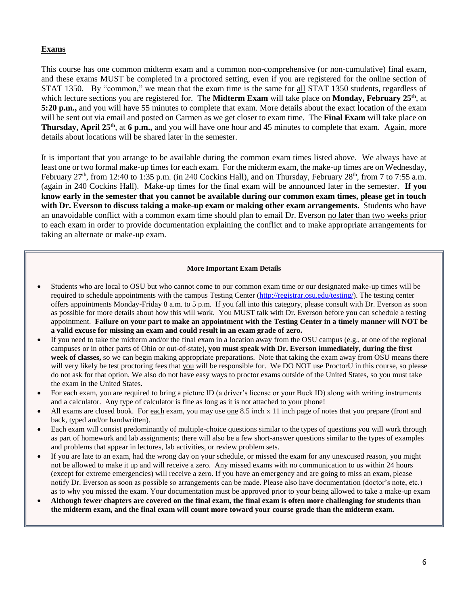### **Exams**

This course has one common midterm exam and a common non-comprehensive (or non-cumulative) final exam, and these exams MUST be completed in a proctored setting, even if you are registered for the online section of STAT 1350. By "common," we mean that the exam time is the same for all STAT 1350 students, regardless of which lecture sections you are registered for. The **Midterm Exam** will take place on **Monday, February 25th**, at **5:20 p.m.,** and you will have 55 minutes to complete that exam. More details about the exact location of the exam will be sent out via email and posted on Carmen as we get closer to exam time. The **Final Exam** will take place on **Thursday, April 25th**, at **6 p.m.,** and you will have one hour and 45 minutes to complete that exam. Again, more details about locations will be shared later in the semester.

It is important that you arrange to be available during the common exam times listed above. We always have at least one or two formal make-up times for each exam. For the midterm exam, the make-up times are on Wednesday, February  $27<sup>th</sup>$ , from 12:40 to 1:35 p.m. (in 240 Cockins Hall), and on Thursday, February  $28<sup>th</sup>$ , from 7 to 7:55 a.m. (again in 240 Cockins Hall). Make-up times for the final exam will be announced later in the semester. **If you know early in the semester that you cannot be available during our common exam times, please get in touch with Dr. Everson to discuss taking a make-up exam or making other exam arrangements.** Students who have an unavoidable conflict with a common exam time should plan to email Dr. Everson no later than two weeks prior to each exam in order to provide documentation explaining the conflict and to make appropriate arrangements for taking an alternate or make-up exam.

#### **More Important Exam Details**

- Students who are local to OSU but who cannot come to our common exam time or our designated make-up times will be required to schedule appointments with the campus Testing Center [\(http://registrar.osu.edu/testing/\)](http://registrar.osu.edu/testing/). The testing center offers appointments Monday-Friday 8 a.m. to 5 p.m. If you fall into this category, please consult with Dr. Everson as soon as possible for more details about how this will work. You MUST talk with Dr. Everson before you can schedule a testing appointment. **Failure on your part to make an appointment with the Testing Center in a timely manner will NOT be a valid excuse for missing an exam and could result in an exam grade of zero.**
- If you need to take the midterm and/or the final exam in a location away from the OSU campus (e.g., at one of the regional campuses or in other parts of Ohio or out-of-state), **you must speak with Dr. Everson immediately, during the first week of classes,** so we can begin making appropriate preparations. Note that taking the exam away from OSU means there will very likely be test proctoring fees that you will be responsible for. We DO NOT use ProctorU in this course, so please do not ask for that option. We also do not have easy ways to proctor exams outside of the United States, so you must take the exam in the United States.
- For each exam, you are required to bring a picture ID (a driver's license or your Buck ID) along with writing instruments and a calculator. Any type of calculator is fine as long as it is not attached to your phone!
- All exams are closed book. For each exam, you may use one 8.5 inch x 11 inch page of notes that you prepare (front and back, typed and/or handwritten).
- Each exam will consist predominantly of multiple-choice questions similar to the types of questions you will work through as part of homework and lab assignments; there will also be a few short-answer questions similar to the types of examples and problems that appear in lectures, lab activities, or review problem sets.
- If you are late to an exam, had the wrong day on your schedule, or missed the exam for any unexcused reason, you might not be allowed to make it up and will receive a zero. Any missed exams with no communication to us within 24 hours (except for extreme emergencies) will receive a zero. If you have an emergency and are going to miss an exam, please notify Dr. Everson as soon as possible so arrangements can be made. Please also have documentation (doctor's note, etc.) as to why you missed the exam. Your documentation must be approved prior to your being allowed to take a make-up exam
- **Although fewer chapters are covered on the final exam, the final exam is often more challenging for students than the midterm exam, and the final exam will count more toward your course grade than the midterm exam.**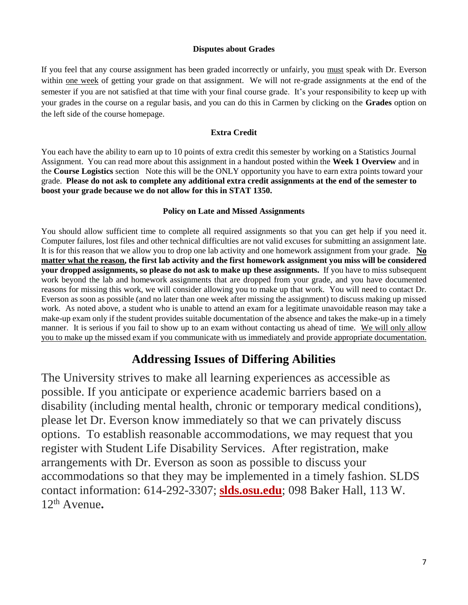## **Disputes about Grades**

If you feel that any course assignment has been graded incorrectly or unfairly, you must speak with Dr. Everson within one week of getting your grade on that assignment. We will not re-grade assignments at the end of the semester if you are not satisfied at that time with your final course grade. It's your responsibility to keep up with your grades in the course on a regular basis, and you can do this in Carmen by clicking on the **Grades** option on the left side of the course homepage.

# **Extra Credit**

You each have the ability to earn up to 10 points of extra credit this semester by working on a Statistics Journal Assignment. You can read more about this assignment in a handout posted within the **Week 1 Overview** and in the **Course Logistics** section Note this will be the ONLY opportunity you have to earn extra points toward your grade. **Please do not ask to complete any additional extra credit assignments at the end of the semester to boost your grade because we do not allow for this in STAT 1350.** 

## **Policy on Late and Missed Assignments**

You should allow sufficient time to complete all required assignments so that you can get help if you need it. Computer failures, lost files and other technical difficulties are not valid excuses for submitting an assignment late. It is for this reason that we allow you to drop one lab activity and one homework assignment from your grade. **No matter what the reason, the first lab activity and the first homework assignment you miss will be considered your dropped assignments, so please do not ask to make up these assignments.** If you have to miss subsequent work beyond the lab and homework assignments that are dropped from your grade, and you have documented reasons for missing this work, we will consider allowing you to make up that work. You will need to contact Dr. Everson as soon as possible (and no later than one week after missing the assignment) to discuss making up missed work. As noted above, a student who is unable to attend an exam for a legitimate unavoidable reason may take a make-up exam only if the student provides suitable documentation of the absence and takes the make-up in a timely manner. It is serious if you fail to show up to an exam without contacting us ahead of time. We will only allow you to make up the missed exam if you communicate with us immediately and provide appropriate documentation.

# **Addressing Issues of Differing Abilities**

The University strives to make all learning experiences as accessible as possible. If you anticipate or experience academic barriers based on a disability (including mental health, chronic or temporary medical conditions), please let Dr. Everson know immediately so that we can privately discuss options. To establish reasonable accommodations, we may request that you register with Student Life Disability Services. After registration, make arrangements with Dr. Everson as soon as possible to discuss your accommodations so that they may be implemented in a timely fashion. SLDS contact information: 614-292-3307; **[slds.osu.edu](http://www.ods.ohio-state.edu/)**; 098 Baker Hall, 113 W. 12th Avenue**.**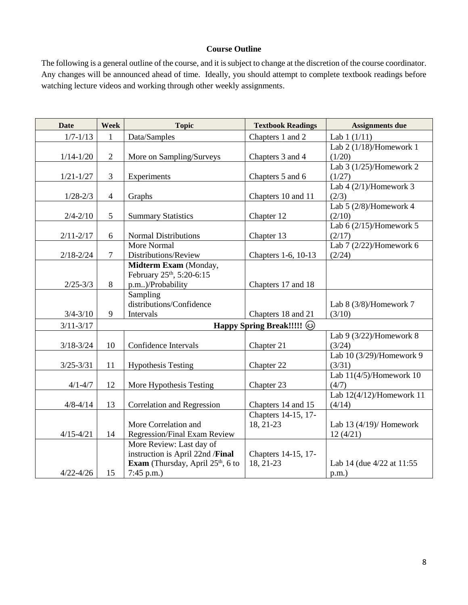## **Course Outline**

The following is a general outline of the course, and it is subject to change at the discretion of the course coordinator. Any changes will be announced ahead of time. Ideally, you should attempt to complete textbook readings before watching lecture videos and working through other weekly assignments.

| <b>Date</b>   | Week           | <b>Topic</b>                               | <b>Textbook Readings</b> | <b>Assignments due</b>     |  |  |  |
|---------------|----------------|--------------------------------------------|--------------------------|----------------------------|--|--|--|
| $1/7 - 1/13$  | 1              | Data/Samples                               | Chapters 1 and 2         | Lab $1(1/11)$              |  |  |  |
|               |                |                                            |                          | Lab $2(1/18)$ /Homework 1  |  |  |  |
| $1/14 - 1/20$ | $\overline{2}$ | More on Sampling/Surveys                   | Chapters 3 and 4         | (1/20)                     |  |  |  |
|               |                |                                            |                          | Lab $3(1/25)$ /Homework 2  |  |  |  |
| $1/21 - 1/27$ | $\mathfrak{Z}$ | Experiments                                | Chapters 5 and 6         | (1/27)                     |  |  |  |
|               |                |                                            |                          | Lab $4(2/1)$ /Homework 3   |  |  |  |
| $1/28 - 2/3$  | $\overline{4}$ | Graphs                                     | Chapters 10 and 11       | (2/3)                      |  |  |  |
|               |                |                                            |                          | Lab $5(2/8)$ /Homework 4   |  |  |  |
| $2/4 - 2/10$  | 5              | <b>Summary Statistics</b>                  | Chapter 12               | (2/10)                     |  |  |  |
|               |                |                                            |                          | Lab $6(2/15)$ /Homework 5  |  |  |  |
| $2/11 - 2/17$ | 6              | <b>Normal Distributions</b>                | Chapter 13               | (2/17)                     |  |  |  |
|               |                | More Normal                                |                          | Lab 7 (2/22)/Homework 6    |  |  |  |
| $2/18 - 2/24$ | $\overline{7}$ | Distributions/Review                       | Chapters 1-6, 10-13      | (2/24)                     |  |  |  |
|               |                | Midterm Exam (Monday,                      |                          |                            |  |  |  |
|               |                | February 25 <sup>th</sup> , 5:20-6:15      |                          |                            |  |  |  |
| $2/25 - 3/3$  | 8              | p.m)/Probability                           | Chapters 17 and 18       |                            |  |  |  |
|               |                | Sampling                                   |                          |                            |  |  |  |
|               |                | distributions/Confidence                   |                          | Lab 8 (3/8)/Homework 7     |  |  |  |
| $3/4 - 3/10$  | 9              | Intervals                                  | Chapters 18 and 21       | (3/10)                     |  |  |  |
| $3/11 - 3/17$ |                | Happy Spring Break!!!!! @                  |                          |                            |  |  |  |
|               |                |                                            |                          | Lab $9(3/22)$ /Homework 8  |  |  |  |
| $3/18 - 3/24$ | 10             | Confidence Intervals                       | Chapter 21               | (3/24)                     |  |  |  |
|               |                |                                            |                          | Lab 10 (3/29)/Homework 9   |  |  |  |
| $3/25 - 3/31$ | 11             | <b>Hypothesis Testing</b>                  | Chapter 22               | (3/31)                     |  |  |  |
|               |                |                                            |                          | Lab $11(4/5)$ /Homework 10 |  |  |  |
| $4/1 - 4/7$   | 12             | More Hypothesis Testing                    | Chapter 23               | (4/7)                      |  |  |  |
|               |                |                                            |                          | Lab 12(4/12)/Homework 11   |  |  |  |
| $4/8 - 4/14$  | 13             | <b>Correlation and Regression</b>          | Chapters 14 and 15       | (4/14)                     |  |  |  |
|               |                |                                            | Chapters 14-15, 17-      |                            |  |  |  |
|               |                | More Correlation and                       | 18, 21-23                | Lab $13(4/19)$ / Homework  |  |  |  |
| $4/15 - 4/21$ | 14             | <b>Regression/Final Exam Review</b>        |                          | 12(4/21)                   |  |  |  |
|               |                | More Review: Last day of                   |                          |                            |  |  |  |
|               |                | instruction is April 22nd /Final           | Chapters 14-15, 17-      |                            |  |  |  |
|               |                | <b>Exam</b> (Thursday, April $25th$ , 6 to | 18, 21-23                | Lab 14 (due 4/22 at 11:55) |  |  |  |
| $4/22 - 4/26$ | 15             | $7:45$ p.m.)                               |                          | $p.m.$ )                   |  |  |  |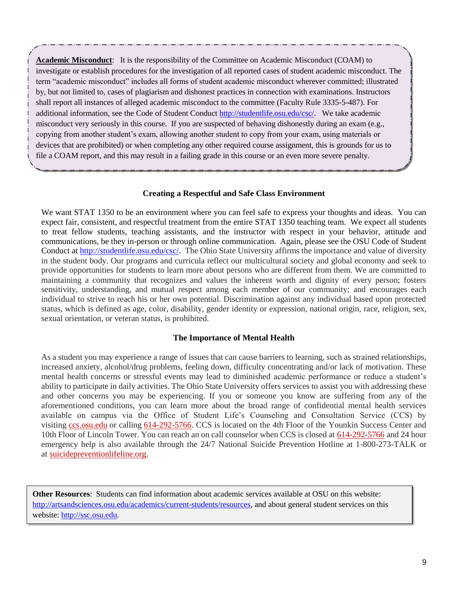**Academic Misconduct**: It is the responsibility of the Committee on Academic Misconduct (COAM) to investigate or establish procedures for the investigation of all reported cases of student academic misconduct. The term "academic misconduct" includes all forms of student academic misconduct wherever committed; illustrated by, but not limited to, cases of plagiarism and dishonest practices in connection with examinations. Instructors shall report all instances of alleged academic misconduct to the committee (Faculty Rule 3335-5-487). For additional information, see the Code of Student Conduct [http://studentlife.osu.edu/csc/.](http://studentlife.osu.edu/csc/) We take academic misconduct very seriously in this course. If you are suspected of behaving dishonestly during an exam (e.g., copying from another student's exam, allowing another student to copy from your exam, using materials or devices that are prohibited) or when completing any other required course assignment, this is grounds for us to file a COAM report, and this may result in a failing grade in this course or an even more severe penalty.

#### **Creating a Respectful and Safe Class Environment**

We want STAT 1350 to be an environment where you can feel safe to express your thoughts and ideas. You can expect fair, consistent, and respectful treatment from the entire STAT 1350 teaching team. We expect all students to treat fellow students, teaching assistants, and the instructor with respect in your behavior, attitude and communications, be they in-person or through online communication. Again, please see the OSU Code of Student Conduct at [http://studentlife.osu.edu/csc/.](http://studentlife.osu.edu/csc/) The Ohio State University affirms the importance and value of diversity in the student body. Our programs and curricula reflect our multicultural society and global economy and seek to provide opportunities for students to learn more about persons who are different from them. We are committed to maintaining a community that recognizes and values the inherent worth and dignity of every person; fosters sensitivity, understanding, and mutual respect among each member of our community; and encourages each individual to strive to reach his or her own potential. Discrimination against any individual based upon protected status, which is defined as age, color, disability, gender identity or expression, national origin, race, religion, sex, sexual orientation, or veteran status, is prohibited.

#### **The Importance of Mental Health**

As a student you may experience a range of issues that can cause barriers to learning, such as strained relationships, increased anxiety, alcohol/drug problems, feeling down, difficulty concentrating and/or lack of motivation. These mental health concerns or stressful events may lead to diminished academic performance or reduce a student's ability to participate in daily activities. The Ohio State University offers services to assist you with addressing these and other concerns you may be experiencing. If you or someone you know are suffering from any of the aforementioned conditions, you can learn more about the broad range of confidential mental health services available on campus via the Office of Student Life's Counseling and Consultation Service (CCS) by visiting [ccs.osu.edu](http://ccs.osu.edu/) or calling [614-292-5766.](tel:%28614%29%20292-5766) CCS is located on the 4th Floor of the Younkin Success Center and 10th Floor of Lincoln Tower. You can reach an on call counselor when CCS is closed at [614-292-5766](tel:%28614%29%20292-5766) and 24 hour emergency help is also available through the 24/7 National Suicide Prevention Hotline at 1-800-273-TALK or at [suicidepreventionlifeline.org.](http://suicidepreventionlifeline.org/)

**Other Resources**: Students can find information about academic services available at OSU on this website: [http://artsandsciences.osu.edu/academics/current-students/resources,](http://artsandsciences.osu.edu/academics/current-students/resources) and about general student services on this website: [http://ssc.osu.edu.](http://ssc.osu.edu/)